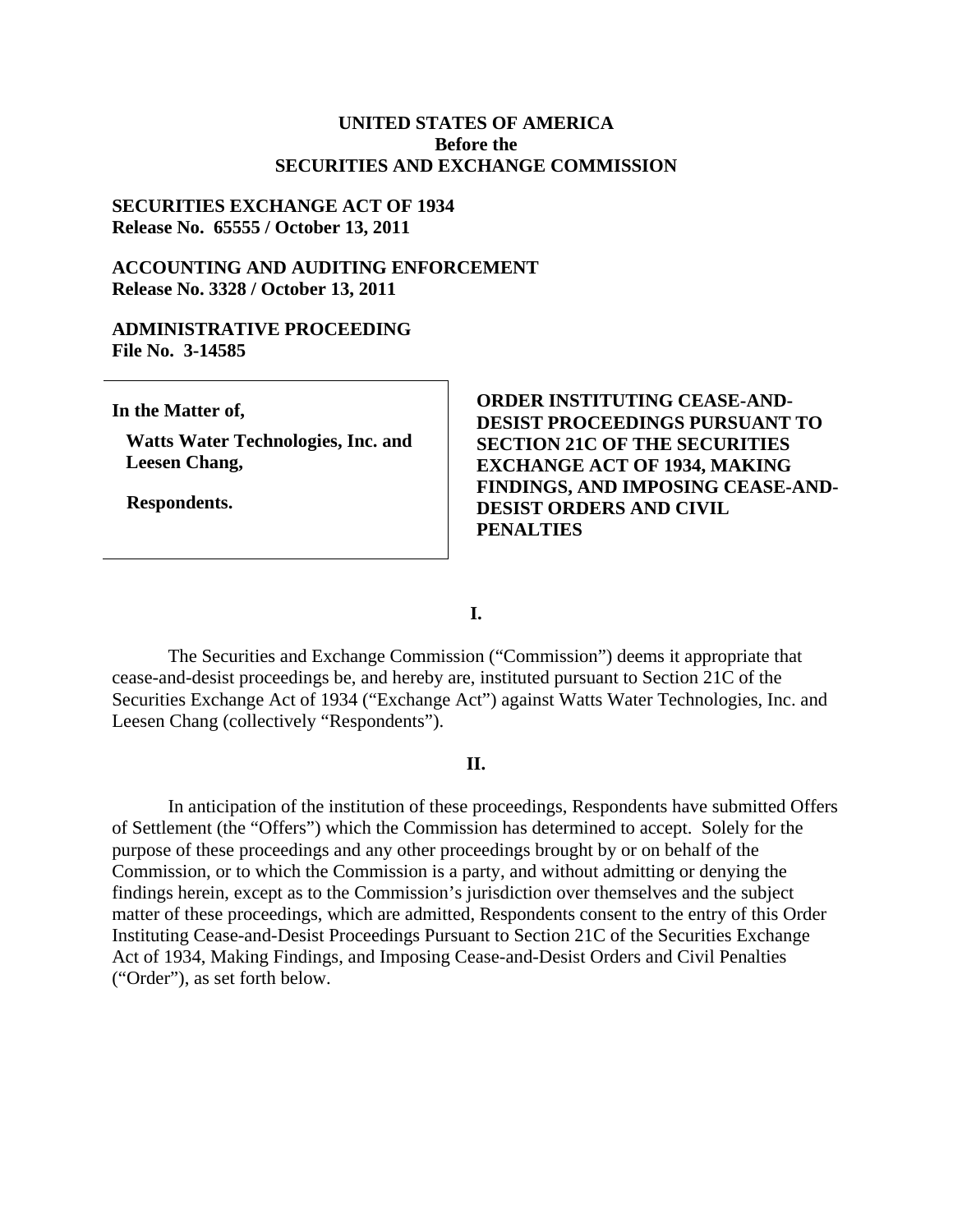### **UNITED STATES OF AMERICA Before the SECURITIES AND EXCHANGE COMMISSION**

#### **SECURITIES EXCHANGE ACT OF 1934 Release No. 65555 / October 13, 2011**

### **ACCOUNTING AND AUDITING ENFORCEMENT Release No. 3328 / October 13, 2011**

#### **ADMINISTRATIVE PROCEEDING File No. 3-14585**

**In the Matter of,**

**Watts Water Technologies, Inc. and Leesen Chang,** 

**Respondents.** 

### **ORDER INSTITUTING CEASE-AND-DESIST PROCEEDINGS PURSUANT TO SECTION 21C OF THE SECURITIES EXCHANGE ACT OF 1934, MAKING FINDINGS, AND IMPOSING CEASE-AND-DESIST ORDERS AND CIVIL PENALTIES**

**I.**

The Securities and Exchange Commission ("Commission") deems it appropriate that cease-and-desist proceedings be, and hereby are, instituted pursuant to Section 21C of the Securities Exchange Act of 1934 ("Exchange Act") against Watts Water Technologies, Inc. and Leesen Chang (collectively "Respondents").

### **II.**

In anticipation of the institution of these proceedings, Respondents have submitted Offers of Settlement (the "Offers") which the Commission has determined to accept. Solely for the purpose of these proceedings and any other proceedings brought by or on behalf of the Commission, or to which the Commission is a party, and without admitting or denying the findings herein, except as to the Commission's jurisdiction over themselves and the subject matter of these proceedings, which are admitted, Respondents consent to the entry of this Order Instituting Cease-and-Desist Proceedings Pursuant to Section 21C of the Securities Exchange Act of 1934, Making Findings, and Imposing Cease-and-Desist Orders and Civil Penalties ("Order"), as set forth below.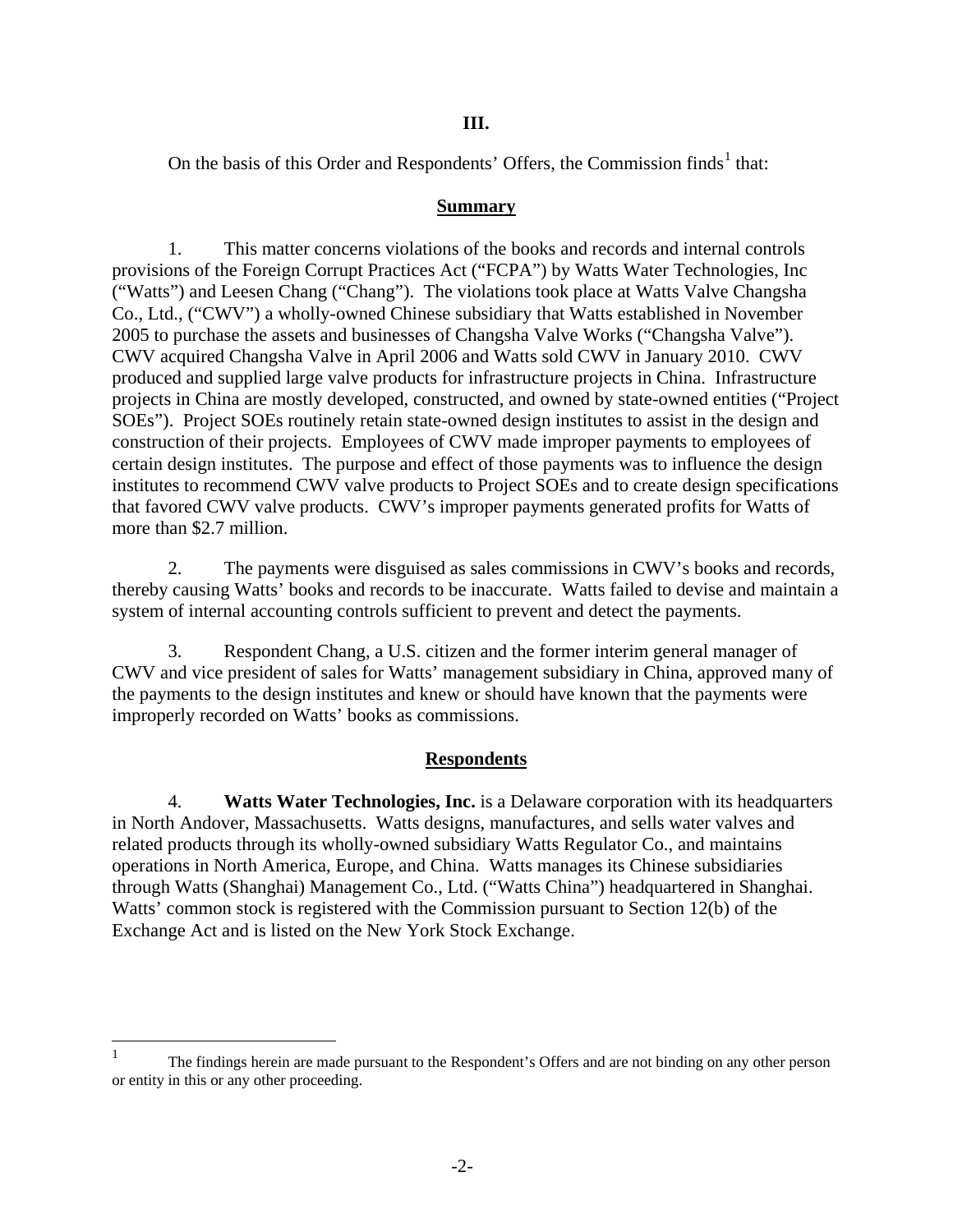### **III.**

On the basis of this Order and Respondents' Offers, the Commission finds<sup>[1](#page-1-0)</sup> that:

#### **Summary**

1. This matter concerns violations of the books and records and internal controls provisions of the Foreign Corrupt Practices Act ("FCPA") by Watts Water Technologies, Inc ("Watts") and Leesen Chang ("Chang"). The violations took place at Watts Valve Changsha Co., Ltd., ("CWV") a wholly-owned Chinese subsidiary that Watts established in November 2005 to purchase the assets and businesses of Changsha Valve Works ("Changsha Valve"). CWV acquired Changsha Valve in April 2006 and Watts sold CWV in January 2010. CWV produced and supplied large valve products for infrastructure projects in China. Infrastructure projects in China are mostly developed, constructed, and owned by state-owned entities ("Project SOEs"). Project SOEs routinely retain state-owned design institutes to assist in the design and construction of their projects. Employees of CWV made improper payments to employees of certain design institutes. The purpose and effect of those payments was to influence the design institutes to recommend CWV valve products to Project SOEs and to create design specifications that favored CWV valve products. CWV's improper payments generated profits for Watts of more than \$2.7 million.

2. The payments were disguised as sales commissions in CWV's books and records, thereby causing Watts' books and records to be inaccurate. Watts failed to devise and maintain a system of internal accounting controls sufficient to prevent and detect the payments.

3. Respondent Chang, a U.S. citizen and the former interim general manager of CWV and vice president of sales for Watts' management subsidiary in China, approved many of the payments to the design institutes and knew or should have known that the payments were improperly recorded on Watts' books as commissions.

### **Respondents**

4. **Watts Water Technologies, Inc.** is a Delaware corporation with its headquarters in North Andover, Massachusetts. Watts designs, manufactures, and sells water valves and related products through its wholly-owned subsidiary Watts Regulator Co., and maintains operations in North America, Europe, and China. Watts manages its Chinese subsidiaries through Watts (Shanghai) Management Co., Ltd. ("Watts China") headquartered in Shanghai. Watts' common stock is registered with the Commission pursuant to Section 12(b) of the Exchange Act and is listed on the New York Stock Exchange.

<span id="page-1-0"></span><sup>&</sup>lt;sup>1</sup> The findings herein are made pursuant to the Respondent's Offers and are not binding on any other person or entity in this or any other proceeding.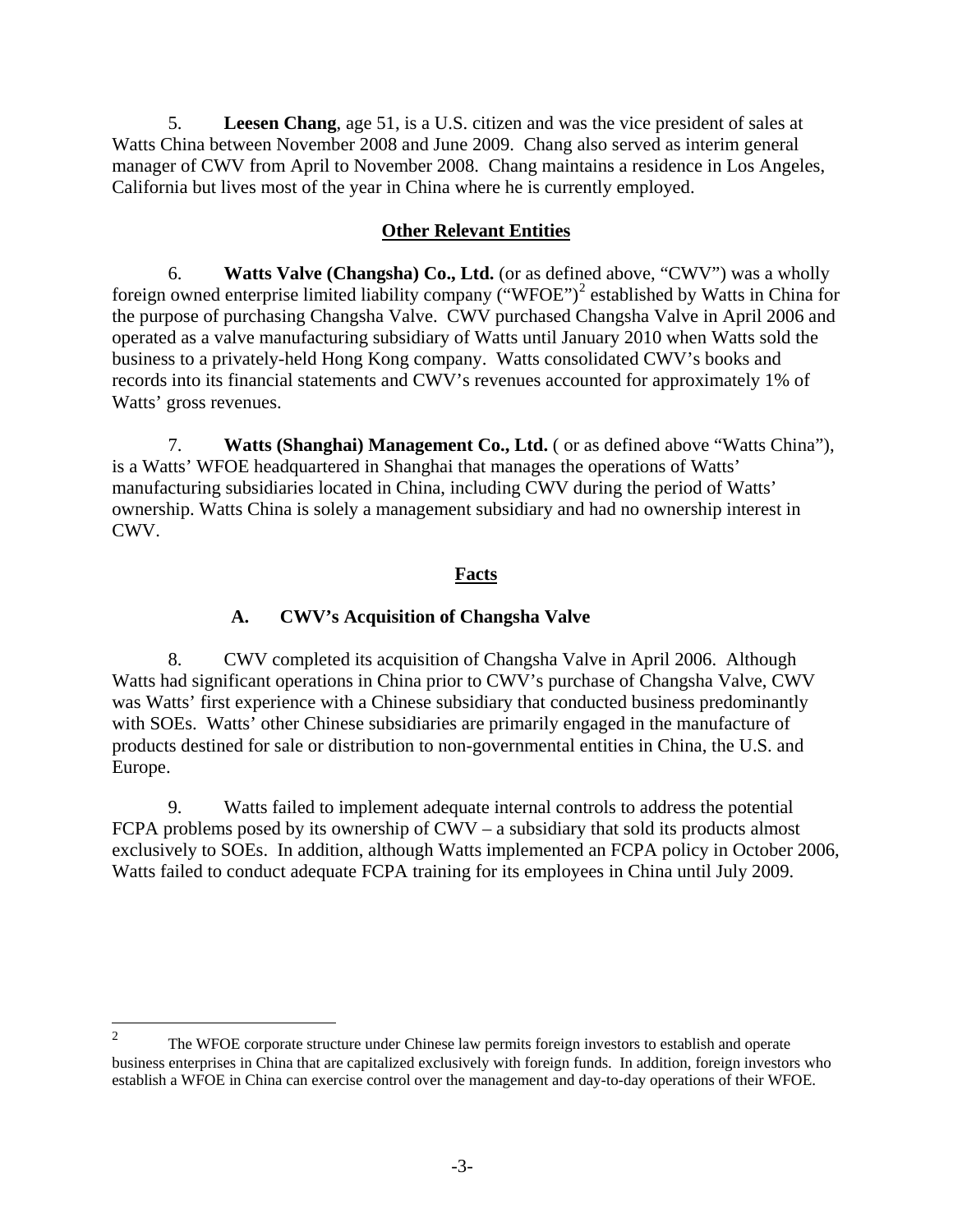5. **Leesen Chang**, age 51, is a U.S. citizen and was the vice president of sales at Watts China between November 2008 and June 2009. Chang also served as interim general manager of CWV from April to November 2008. Chang maintains a residence in Los Angeles, California but lives most of the year in China where he is currently employed.

## **Other Relevant Entities**

6. **Watts Valve (Changsha) Co., Ltd.** (or as defined above, "CWV") was a wholly foreign owned enterprise limited liability company ("WFOE")<sup>[2](#page-2-0)</sup> established by Watts in China for the purpose of purchasing Changsha Valve. CWV purchased Changsha Valve in April 2006 and operated as a valve manufacturing subsidiary of Watts until January 2010 when Watts sold the business to a privately-held Hong Kong company. Watts consolidated CWV's books and records into its financial statements and CWV's revenues accounted for approximately 1% of Watts' gross revenues.

7. **Watts (Shanghai) Management Co., Ltd.** ( or as defined above "Watts China"), is a Watts' WFOE headquartered in Shanghai that manages the operations of Watts' manufacturing subsidiaries located in China, including CWV during the period of Watts' ownership. Watts China is solely a management subsidiary and had no ownership interest in CWV.

# **Facts**

# **A. CWV's Acquisition of Changsha Valve**

8. CWV completed its acquisition of Changsha Valve in April 2006. Although Watts had significant operations in China prior to CWV's purchase of Changsha Valve, CWV was Watts' first experience with a Chinese subsidiary that conducted business predominantly with SOEs. Watts' other Chinese subsidiaries are primarily engaged in the manufacture of products destined for sale or distribution to non-governmental entities in China, the U.S. and Europe.

9. Watts failed to implement adequate internal controls to address the potential FCPA problems posed by its ownership of CWV – a subsidiary that sold its products almost exclusively to SOEs. In addition, although Watts implemented an FCPA policy in October 2006, Watts failed to conduct adequate FCPA training for its employees in China until July 2009.

<span id="page-2-0"></span><sup>&</sup>lt;sup>2</sup> The WFOE corporate structure under Chinese law permits foreign investors to establish and operate business enterprises in China that are capitalized exclusively with foreign funds. In addition, foreign investors who establish a WFOE in China can exercise control over the management and day-to-day operations of their WFOE.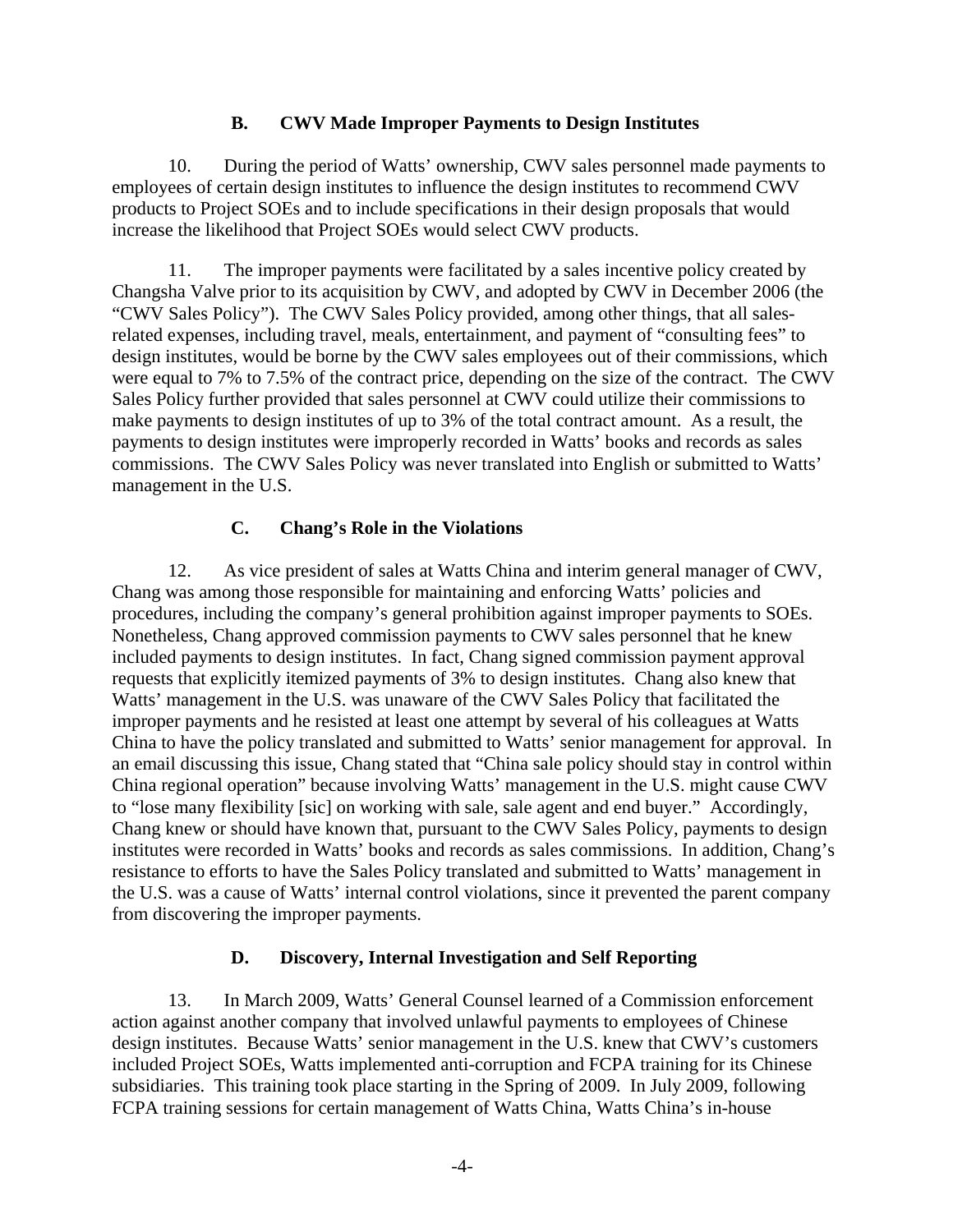### **B. CWV Made Improper Payments to Design Institutes**

10. During the period of Watts' ownership, CWV sales personnel made payments to employees of certain design institutes to influence the design institutes to recommend CWV products to Project SOEs and to include specifications in their design proposals that would increase the likelihood that Project SOEs would select CWV products.

11. The improper payments were facilitated by a sales incentive policy created by Changsha Valve prior to its acquisition by CWV, and adopted by CWV in December 2006 (the "CWV Sales Policy"). The CWV Sales Policy provided, among other things, that all salesrelated expenses, including travel, meals, entertainment, and payment of "consulting fees" to design institutes, would be borne by the CWV sales employees out of their commissions, which were equal to 7% to 7.5% of the contract price, depending on the size of the contract. The CWV Sales Policy further provided that sales personnel at CWV could utilize their commissions to make payments to design institutes of up to 3% of the total contract amount. As a result, the payments to design institutes were improperly recorded in Watts' books and records as sales commissions. The CWV Sales Policy was never translated into English or submitted to Watts' management in the U.S.

## **C. Chang's Role in the Violations**

12. As vice president of sales at Watts China and interim general manager of CWV, Chang was among those responsible for maintaining and enforcing Watts' policies and procedures, including the company's general prohibition against improper payments to SOEs. Nonetheless, Chang approved commission payments to CWV sales personnel that he knew included payments to design institutes. In fact, Chang signed commission payment approval requests that explicitly itemized payments of 3% to design institutes. Chang also knew that Watts' management in the U.S. was unaware of the CWV Sales Policy that facilitated the improper payments and he resisted at least one attempt by several of his colleagues at Watts China to have the policy translated and submitted to Watts' senior management for approval. In an email discussing this issue, Chang stated that "China sale policy should stay in control within China regional operation" because involving Watts' management in the U.S. might cause CWV to "lose many flexibility [sic] on working with sale, sale agent and end buyer." Accordingly, Chang knew or should have known that, pursuant to the CWV Sales Policy, payments to design institutes were recorded in Watts' books and records as sales commissions. In addition, Chang's resistance to efforts to have the Sales Policy translated and submitted to Watts' management in the U.S. was a cause of Watts' internal control violations, since it prevented the parent company from discovering the improper payments.

## **D. Discovery, Internal Investigation and Self Reporting**

13. In March 2009, Watts' General Counsel learned of a Commission enforcement action against another company that involved unlawful payments to employees of Chinese design institutes. Because Watts' senior management in the U.S. knew that CWV's customers included Project SOEs, Watts implemented anti-corruption and FCPA training for its Chinese subsidiaries. This training took place starting in the Spring of 2009. In July 2009, following FCPA training sessions for certain management of Watts China, Watts China's in-house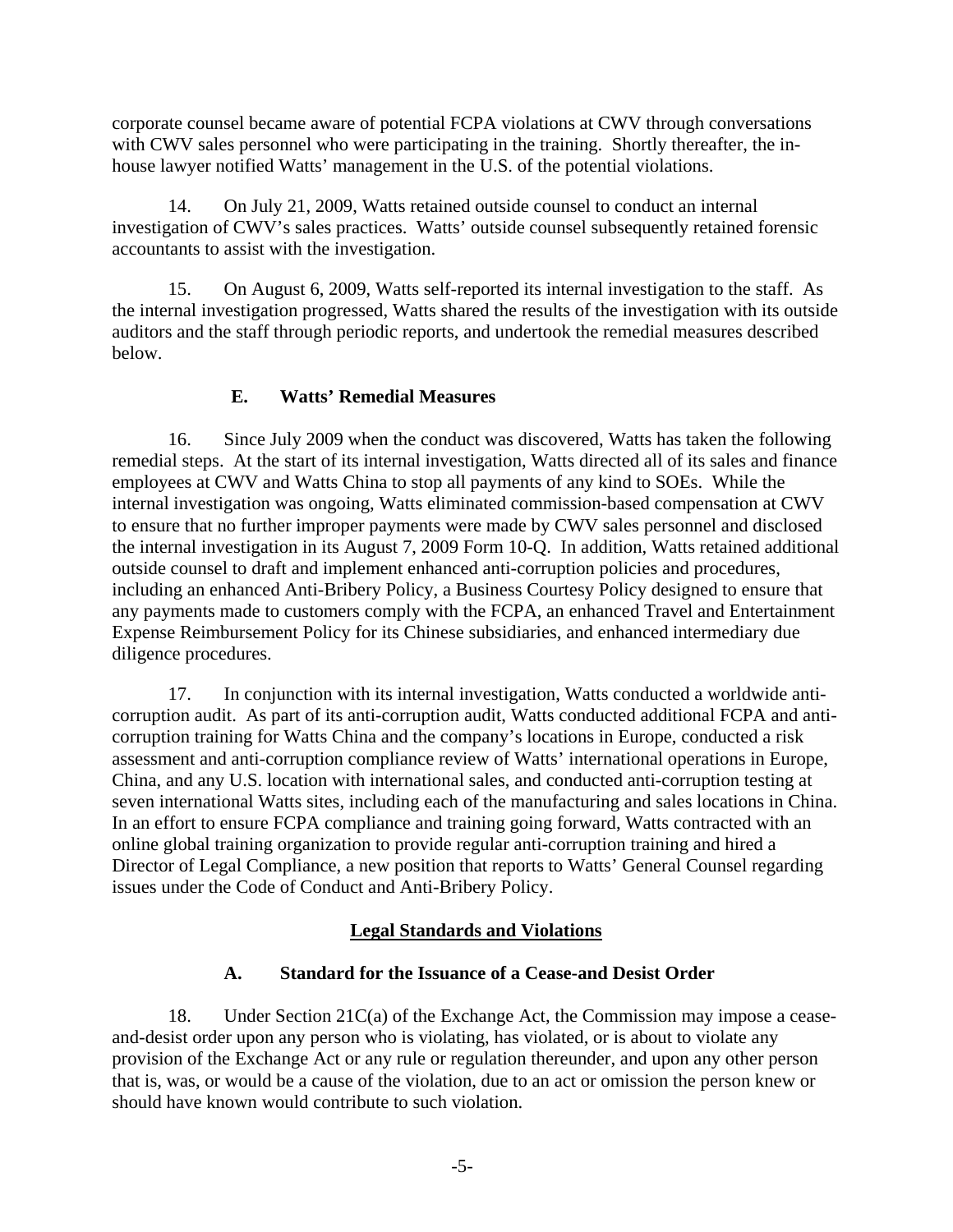corporate counsel became aware of potential FCPA violations at CWV through conversations with CWV sales personnel who were participating in the training. Shortly thereafter, the inhouse lawyer notified Watts' management in the U.S. of the potential violations.

14. On July 21, 2009, Watts retained outside counsel to conduct an internal investigation of CWV's sales practices. Watts' outside counsel subsequently retained forensic accountants to assist with the investigation.

15. On August 6, 2009, Watts self-reported its internal investigation to the staff. As the internal investigation progressed, Watts shared the results of the investigation with its outside auditors and the staff through periodic reports, and undertook the remedial measures described below.

# **E. Watts' Remedial Measures**

16. Since July 2009 when the conduct was discovered, Watts has taken the following remedial steps. At the start of its internal investigation, Watts directed all of its sales and finance employees at CWV and Watts China to stop all payments of any kind to SOEs. While the internal investigation was ongoing, Watts eliminated commission-based compensation at CWV to ensure that no further improper payments were made by CWV sales personnel and disclosed the internal investigation in its August 7, 2009 Form 10-Q. In addition, Watts retained additional outside counsel to draft and implement enhanced anti-corruption policies and procedures, including an enhanced Anti-Bribery Policy, a Business Courtesy Policy designed to ensure that any payments made to customers comply with the FCPA, an enhanced Travel and Entertainment Expense Reimbursement Policy for its Chinese subsidiaries, and enhanced intermediary due diligence procedures.

17. In conjunction with its internal investigation, Watts conducted a worldwide anticorruption audit. As part of its anti-corruption audit, Watts conducted additional FCPA and anticorruption training for Watts China and the company's locations in Europe, conducted a risk assessment and anti-corruption compliance review of Watts' international operations in Europe, China, and any U.S. location with international sales, and conducted anti-corruption testing at seven international Watts sites, including each of the manufacturing and sales locations in China. In an effort to ensure FCPA compliance and training going forward, Watts contracted with an online global training organization to provide regular anti-corruption training and hired a Director of Legal Compliance, a new position that reports to Watts' General Counsel regarding issues under the Code of Conduct and Anti-Bribery Policy.

# **Legal Standards and Violations**

## **A. Standard for the Issuance of a Cease-and Desist Order**

18. Under Section 21C(a) of the Exchange Act, the Commission may impose a ceaseand-desist order upon any person who is violating, has violated, or is about to violate any provision of the Exchange Act or any rule or regulation thereunder, and upon any other person that is, was, or would be a cause of the violation, due to an act or omission the person knew or should have known would contribute to such violation.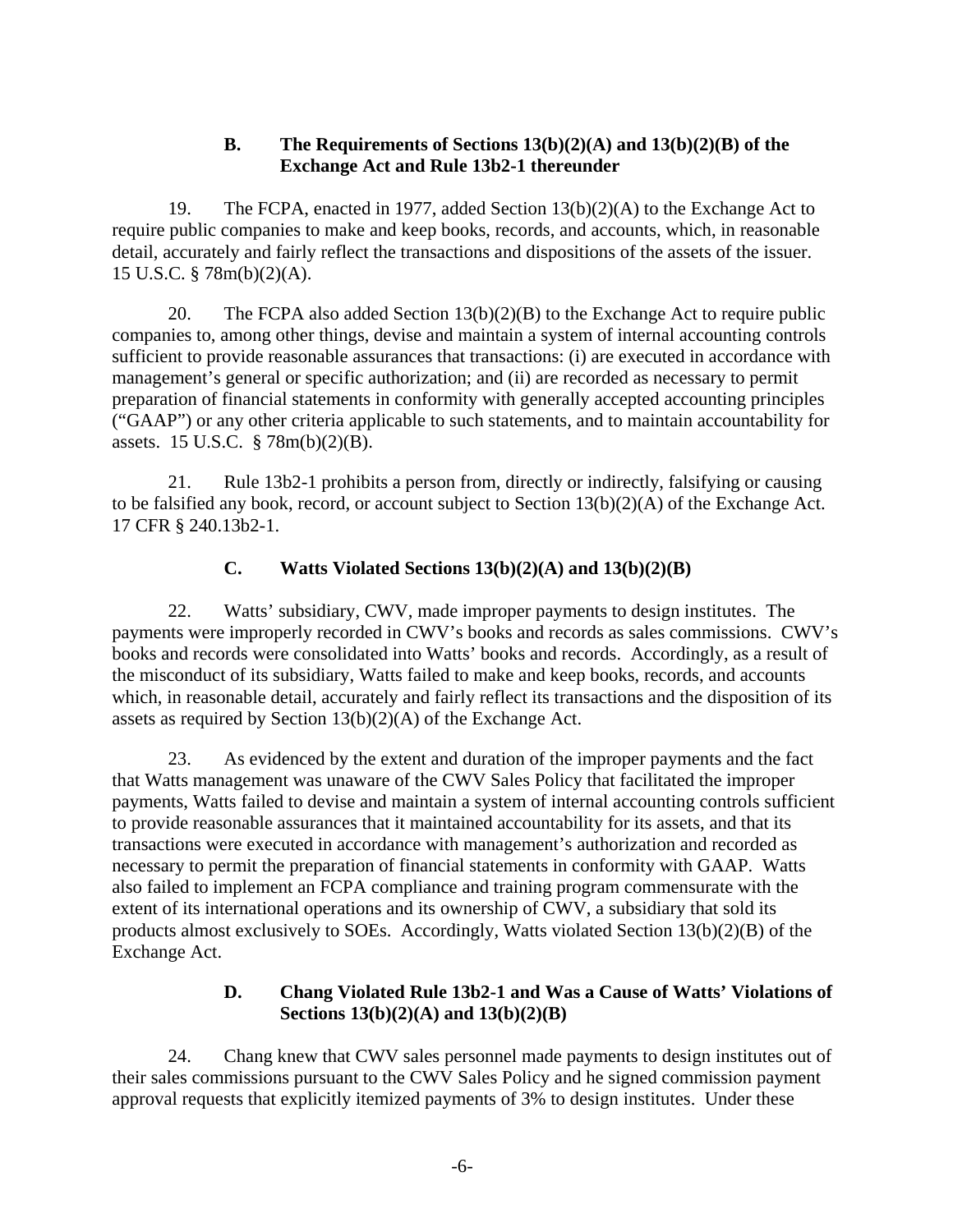# **B. The Requirements of Sections 13(b)(2)(A) and 13(b)(2)(B) of the Exchange Act and Rule 13b2-1 thereunder**

19. The FCPA, enacted in 1977, added Section 13(b)(2)(A) to the Exchange Act to require public companies to make and keep books, records, and accounts, which, in reasonable detail, accurately and fairly reflect the transactions and dispositions of the assets of the issuer. 15 U.S.C. § 78m(b)(2)(A).

20. The FCPA also added Section 13(b)(2)(B) to the Exchange Act to require public companies to, among other things, devise and maintain a system of internal accounting controls sufficient to provide reasonable assurances that transactions: (i) are executed in accordance with management's general or specific authorization; and (ii) are recorded as necessary to permit preparation of financial statements in conformity with generally accepted accounting principles ("GAAP") or any other criteria applicable to such statements, and to maintain accountability for assets. 15 U.S.C. § 78m(b)(2)(B).

21. Rule 13b2-1 prohibits a person from, directly or indirectly, falsifying or causing to be falsified any book, record, or account subject to Section 13(b)(2)(A) of the Exchange Act. 17 CFR § 240.13b2-1.

# **C. Watts Violated Sections 13(b)(2)(A) and 13(b)(2)(B)**

22. Watts' subsidiary, CWV, made improper payments to design institutes. The payments were improperly recorded in CWV's books and records as sales commissions. CWV's books and records were consolidated into Watts' books and records. Accordingly, as a result of the misconduct of its subsidiary, Watts failed to make and keep books, records, and accounts which, in reasonable detail, accurately and fairly reflect its transactions and the disposition of its assets as required by Section 13(b)(2)(A) of the Exchange Act.

23. As evidenced by the extent and duration of the improper payments and the fact that Watts management was unaware of the CWV Sales Policy that facilitated the improper payments, Watts failed to devise and maintain a system of internal accounting controls sufficient to provide reasonable assurances that it maintained accountability for its assets, and that its transactions were executed in accordance with management's authorization and recorded as necessary to permit the preparation of financial statements in conformity with GAAP. Watts also failed to implement an FCPA compliance and training program commensurate with the extent of its international operations and its ownership of CWV, a subsidiary that sold its products almost exclusively to SOEs. Accordingly, Watts violated Section 13(b)(2)(B) of the Exchange Act.

# **D. Chang Violated Rule 13b2-1 and Was a Cause of Watts' Violations of Sections 13(b)(2)(A) and 13(b)(2)(B)**

24. Chang knew that CWV sales personnel made payments to design institutes out of their sales commissions pursuant to the CWV Sales Policy and he signed commission payment approval requests that explicitly itemized payments of 3% to design institutes. Under these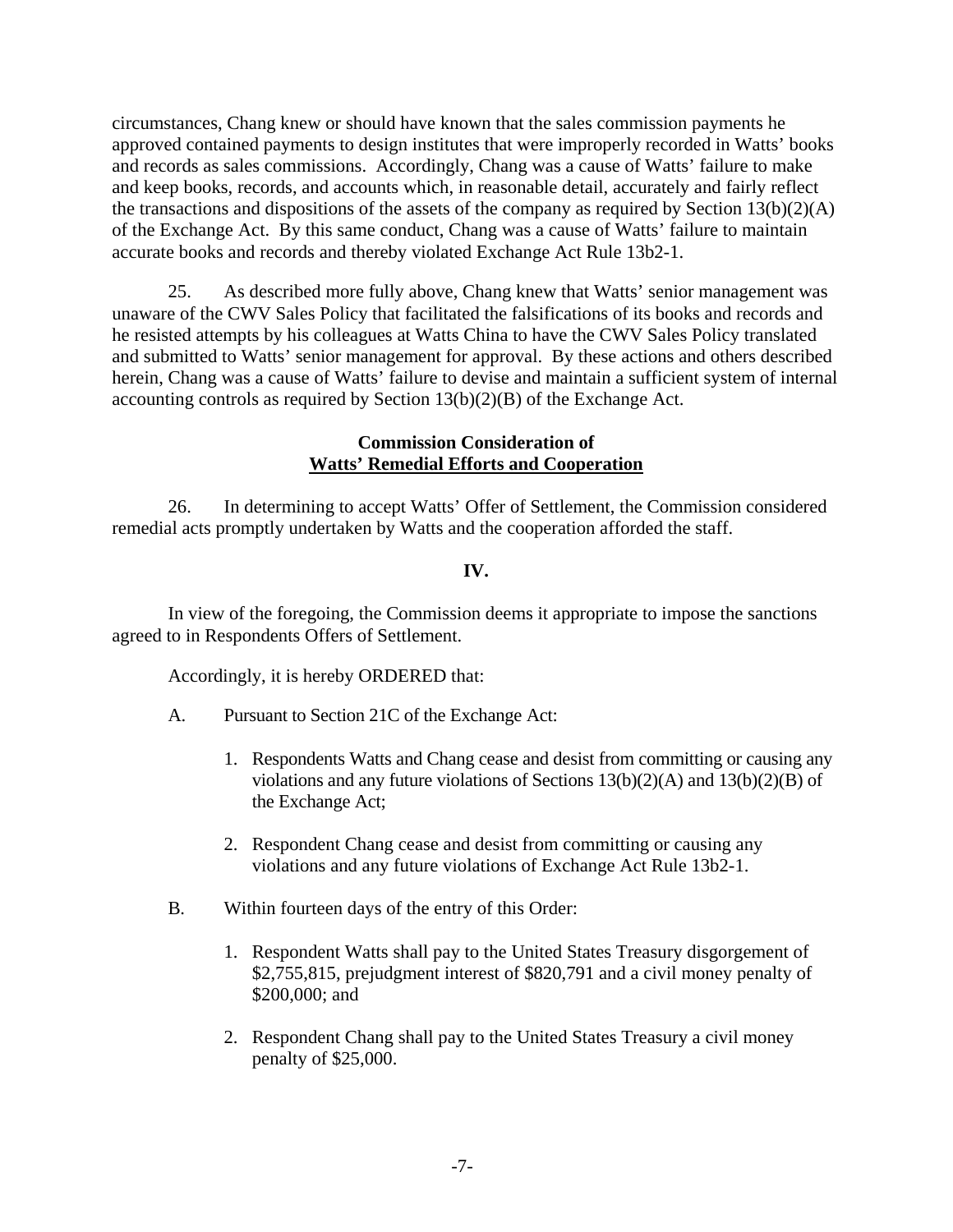circumstances, Chang knew or should have known that the sales commission payments he approved contained payments to design institutes that were improperly recorded in Watts' books and records as sales commissions. Accordingly, Chang was a cause of Watts' failure to make and keep books, records, and accounts which, in reasonable detail, accurately and fairly reflect the transactions and dispositions of the assets of the company as required by Section  $13(b)(2)(A)$ of the Exchange Act. By this same conduct, Chang was a cause of Watts' failure to maintain accurate books and records and thereby violated Exchange Act Rule 13b2-1.

25. As described more fully above, Chang knew that Watts' senior management was unaware of the CWV Sales Policy that facilitated the falsifications of its books and records and he resisted attempts by his colleagues at Watts China to have the CWV Sales Policy translated and submitted to Watts' senior management for approval. By these actions and others described herein, Chang was a cause of Watts' failure to devise and maintain a sufficient system of internal accounting controls as required by Section 13(b)(2)(B) of the Exchange Act.

### **Commission Consideration of Watts' Remedial Efforts and Cooperation**

26. In determining to accept Watts' Offer of Settlement, the Commission considered remedial acts promptly undertaken by Watts and the cooperation afforded the staff.

### **IV.**

In view of the foregoing, the Commission deems it appropriate to impose the sanctions agreed to in Respondents Offers of Settlement.

Accordingly, it is hereby ORDERED that:

- A. Pursuant to Section 21C of the Exchange Act:
	- 1. Respondents Watts and Chang cease and desist from committing or causing any violations and any future violations of Sections 13(b)(2)(A) and 13(b)(2)(B) of the Exchange Act;
	- 2. Respondent Chang cease and desist from committing or causing any violations and any future violations of Exchange Act Rule 13b2-1.
- B. Within fourteen days of the entry of this Order:
	- 1. Respondent Watts shall pay to the United States Treasury disgorgement of \$2,755,815, prejudgment interest of \$820,791 and a civil money penalty of \$200,000; and
	- 2. Respondent Chang shall pay to the United States Treasury a civil money penalty of \$25,000.